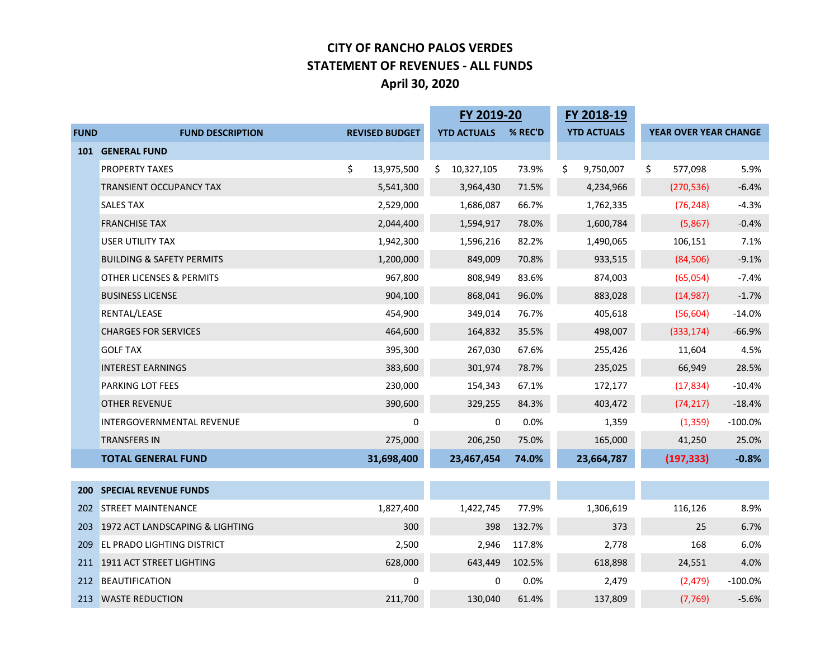#### **CITY OF RANCHO PALOS VERDES STATEMENT OF REVENUES - ALL FUNDS April 30, 2020**

|             |                                      |    |                       | FY 2019-20         |         | FY 2018-19         |                              |            |
|-------------|--------------------------------------|----|-----------------------|--------------------|---------|--------------------|------------------------------|------------|
| <b>FUND</b> | <b>FUND DESCRIPTION</b>              |    | <b>REVISED BUDGET</b> | <b>YTD ACTUALS</b> | % REC'D | <b>YTD ACTUALS</b> | <b>YEAR OVER YEAR CHANGE</b> |            |
| 101         | <b>GENERAL FUND</b>                  |    |                       |                    |         |                    |                              |            |
|             | PROPERTY TAXES                       | \$ | 13,975,500            | \$<br>10,327,105   | 73.9%   | \$<br>9,750,007    | \$<br>577,098                | 5.9%       |
|             | <b>TRANSIENT OCCUPANCY TAX</b>       |    | 5,541,300             | 3,964,430          | 71.5%   | 4,234,966          | (270, 536)                   | $-6.4%$    |
|             | <b>SALES TAX</b>                     |    | 2,529,000             | 1,686,087          | 66.7%   | 1,762,335          | (76, 248)                    | $-4.3%$    |
|             | <b>FRANCHISE TAX</b>                 |    | 2,044,400             | 1,594,917          | 78.0%   | 1,600,784          | (5,867)                      | $-0.4%$    |
|             | USER UTILITY TAX                     |    | 1,942,300             | 1,596,216          | 82.2%   | 1,490,065          | 106,151                      | 7.1%       |
|             | <b>BUILDING &amp; SAFETY PERMITS</b> |    | 1,200,000             | 849,009            | 70.8%   | 933,515            | (84, 506)                    | $-9.1%$    |
|             | OTHER LICENSES & PERMITS             |    | 967,800               | 808,949            | 83.6%   | 874,003            | (65,054)                     | $-7.4%$    |
|             | <b>BUSINESS LICENSE</b>              |    | 904,100               | 868,041            | 96.0%   | 883,028            | (14, 987)                    | $-1.7%$    |
|             | RENTAL/LEASE                         |    | 454,900               | 349,014            | 76.7%   | 405,618            | (56, 604)                    | $-14.0%$   |
|             | <b>CHARGES FOR SERVICES</b>          |    | 464,600               | 164,832            | 35.5%   | 498,007            | (333, 174)                   | $-66.9%$   |
|             | <b>GOLF TAX</b>                      |    | 395,300               | 267,030            | 67.6%   | 255,426            | 11,604                       | 4.5%       |
|             | <b>INTEREST EARNINGS</b>             |    | 383,600               | 301,974            | 78.7%   | 235,025            | 66,949                       | 28.5%      |
|             | PARKING LOT FEES                     |    | 230,000               | 154,343            | 67.1%   | 172,177            | (17, 834)                    | $-10.4%$   |
|             | <b>OTHER REVENUE</b>                 |    | 390,600               | 329,255            | 84.3%   | 403,472            | (74, 217)                    | $-18.4%$   |
|             | <b>INTERGOVERNMENTAL REVENUE</b>     |    | 0                     | 0                  | 0.0%    | 1,359              | (1, 359)                     | $-100.0\%$ |
|             | <b>TRANSFERS IN</b>                  |    | 275,000               | 206,250            | 75.0%   | 165,000            | 41,250                       | 25.0%      |
|             | <b>TOTAL GENERAL FUND</b>            |    | 31,698,400            | 23,467,454         | 74.0%   | 23,664,787         | (197, 333)                   | $-0.8%$    |
|             |                                      |    |                       |                    |         |                    |                              |            |
| <b>200</b>  | <b>SPECIAL REVENUE FUNDS</b>         |    |                       |                    |         |                    |                              |            |
|             | 202 STREET MAINTENANCE               |    | 1,827,400             | 1,422,745          | 77.9%   | 1,306,619          | 116,126                      | 8.9%       |
| 203         | 1972 ACT LANDSCAPING & LIGHTING      |    | 300                   | 398                | 132.7%  | 373                | 25                           | 6.7%       |
| 209         | <b>EL PRADO LIGHTING DISTRICT</b>    |    | 2,500                 | 2,946              | 117.8%  | 2,778              | 168                          | 6.0%       |
|             | 211 1911 ACT STREET LIGHTING         |    | 628,000               | 643,449            | 102.5%  | 618,898            | 24,551                       | 4.0%       |
|             | 212 BEAUTIFICATION                   |    | 0                     | 0                  | 0.0%    | 2,479              | (2, 479)                     | $-100.0%$  |
| 213         | <b>WASTE REDUCTION</b>               |    | 211,700               | 130,040            | 61.4%   | 137,809            | (7, 769)                     | $-5.6%$    |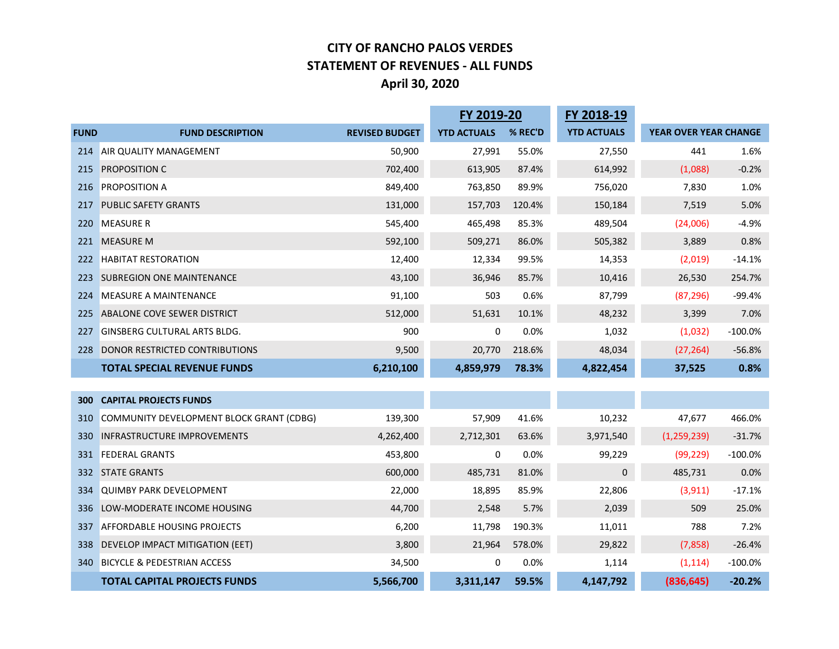#### **CITY OF RANCHO PALOS VERDES STATEMENT OF REVENUES - ALL FUNDS April 30, 2020**

|             |                                          | FY 2019-20            |                    | FY 2018-19 |                    |                       |           |
|-------------|------------------------------------------|-----------------------|--------------------|------------|--------------------|-----------------------|-----------|
| <b>FUND</b> | <b>FUND DESCRIPTION</b>                  | <b>REVISED BUDGET</b> | <b>YTD ACTUALS</b> | % REC'D    | <b>YTD ACTUALS</b> | YEAR OVER YEAR CHANGE |           |
| 214         | AIR QUALITY MANAGEMENT                   | 50,900                | 27,991             | 55.0%      | 27,550             | 441                   | 1.6%      |
| 215         | <b>PROPOSITION C</b>                     | 702,400               | 613,905            | 87.4%      | 614,992            | (1,088)               | $-0.2%$   |
| 216         | <b>PROPOSITION A</b>                     | 849,400               | 763,850            | 89.9%      | 756,020            | 7,830                 | 1.0%      |
| 217         | <b>PUBLIC SAFETY GRANTS</b>              | 131,000               | 157,703            | 120.4%     | 150,184            | 7,519                 | 5.0%      |
| 220         | <b>MEASURE R</b>                         | 545,400               | 465,498            | 85.3%      | 489,504            | (24,006)              | $-4.9%$   |
| 221         | <b>MEASURE M</b>                         | 592,100               | 509,271            | 86.0%      | 505,382            | 3,889                 | 0.8%      |
| 222         | <b>HABITAT RESTORATION</b>               | 12,400                | 12,334             | 99.5%      | 14,353             | (2,019)               | $-14.1%$  |
| 223         | <b>SUBREGION ONE MAINTENANCE</b>         | 43,100                | 36,946             | 85.7%      | 10,416             | 26,530                | 254.7%    |
| 224         | MEASURE A MAINTENANCE                    | 91,100                | 503                | 0.6%       | 87,799             | (87, 296)             | $-99.4%$  |
| 225         | ABALONE COVE SEWER DISTRICT              | 512,000               | 51,631             | 10.1%      | 48,232             | 3,399                 | 7.0%      |
| 227         | <b>GINSBERG CULTURAL ARTS BLDG.</b>      | 900                   | 0                  | 0.0%       | 1,032              | (1,032)               | $-100.0%$ |
| 228         | DONOR RESTRICTED CONTRIBUTIONS           | 9,500                 | 20,770             | 218.6%     | 48,034             | (27, 264)             | $-56.8%$  |
|             | <b>TOTAL SPECIAL REVENUE FUNDS</b>       | 6,210,100             | 4,859,979          | 78.3%      | 4,822,454          | 37,525                | 0.8%      |
|             |                                          |                       |                    |            |                    |                       |           |
| 300         | <b>CAPITAL PROJECTS FUNDS</b>            |                       |                    |            |                    |                       |           |
| 310         | COMMUNITY DEVELOPMENT BLOCK GRANT (CDBG) | 139,300               | 57,909             | 41.6%      | 10,232             | 47,677                | 466.0%    |
| 330         | <b>INFRASTRUCTURE IMPROVEMENTS</b>       | 4,262,400             | 2,712,301          | 63.6%      | 3,971,540          | (1, 259, 239)         | $-31.7%$  |
| 331         | <b>FEDERAL GRANTS</b>                    | 453,800               | 0                  | 0.0%       | 99,229             | (99, 229)             | $-100.0%$ |
| 332         | <b>STATE GRANTS</b>                      | 600,000               | 485,731            | 81.0%      | 0                  | 485,731               | 0.0%      |
| 334         | <b>QUIMBY PARK DEVELOPMENT</b>           | 22,000                | 18,895             | 85.9%      | 22,806             | (3, 911)              | $-17.1%$  |
| 336         | LOW-MODERATE INCOME HOUSING              | 44,700                | 2,548              | 5.7%       | 2,039              | 509                   | 25.0%     |
| 337         | <b>AFFORDABLE HOUSING PROJECTS</b>       | 6,200                 | 11,798             | 190.3%     | 11,011             | 788                   | 7.2%      |
| 338         | DEVELOP IMPACT MITIGATION (EET)          | 3,800                 | 21,964             | 578.0%     | 29,822             | (7, 858)              | $-26.4%$  |
| 340         | <b>BICYCLE &amp; PEDESTRIAN ACCESS</b>   | 34,500                | 0                  | 0.0%       | 1,114              | (1, 114)              | $-100.0%$ |
|             | <b>TOTAL CAPITAL PROJECTS FUNDS</b>      | 5,566,700             | 3,311,147          | 59.5%      | 4,147,792          | (836, 645)            | $-20.2%$  |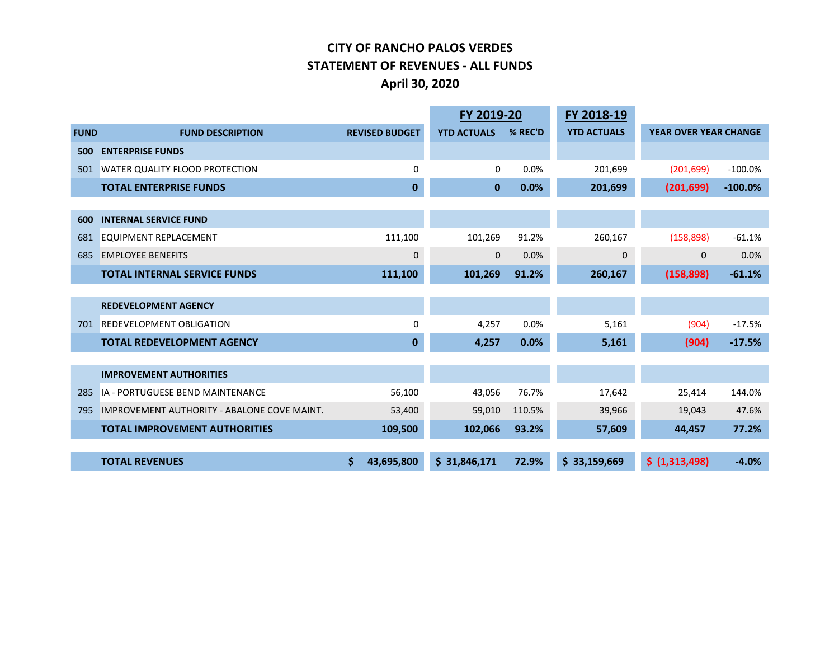#### **CITY OF RANCHO PALOS VERDES STATEMENT OF REVENUES - ALL FUNDS April 30, 2020**

|             |                                                    |                       | FY 2019-20         |         | FY 2018-19         |                              |           |
|-------------|----------------------------------------------------|-----------------------|--------------------|---------|--------------------|------------------------------|-----------|
| <b>FUND</b> | <b>FUND DESCRIPTION</b>                            | <b>REVISED BUDGET</b> | <b>YTD ACTUALS</b> | % REC'D | <b>YTD ACTUALS</b> | <b>YEAR OVER YEAR CHANGE</b> |           |
| 500         | <b>ENTERPRISE FUNDS</b>                            |                       |                    |         |                    |                              |           |
| 501         | WATER QUALITY FLOOD PROTECTION                     | $\Omega$              | $\mathbf 0$        | 0.0%    | 201,699            | (201, 699)                   | $-100.0%$ |
|             | <b>TOTAL ENTERPRISE FUNDS</b>                      | $\bf{0}$              | $\bf{0}$           | 0.0%    | 201,699            | (201, 699)                   | $-100.0%$ |
|             |                                                    |                       |                    |         |                    |                              |           |
| 600         | <b>INTERNAL SERVICE FUND</b>                       |                       |                    |         |                    |                              |           |
| 681         | <b>EQUIPMENT REPLACEMENT</b>                       | 111,100               | 101,269            | 91.2%   | 260,167            | (158, 898)                   | $-61.1%$  |
| 685         | <b>EMPLOYEE BENEFITS</b>                           | 0                     | $\mathbf 0$        | 0.0%    | $\pmb{0}$          | $\mathbf 0$                  | 0.0%      |
|             | <b>TOTAL INTERNAL SERVICE FUNDS</b>                | 111,100               | 101,269            | 91.2%   | 260,167            | (158, 898)                   | $-61.1%$  |
|             |                                                    |                       |                    |         |                    |                              |           |
|             | <b>REDEVELOPMENT AGENCY</b>                        |                       |                    |         |                    |                              |           |
| 701         | <b>REDEVELOPMENT OBLIGATION</b>                    | $\Omega$              | 4,257              | 0.0%    | 5,161              | (904)                        | $-17.5%$  |
|             | <b>TOTAL REDEVELOPMENT AGENCY</b>                  | $\bf{0}$              | 4,257              | 0.0%    | 5,161              | (904)                        | $-17.5%$  |
|             |                                                    |                       |                    |         |                    |                              |           |
|             | <b>IMPROVEMENT AUTHORITIES</b>                     |                       |                    |         |                    |                              |           |
| 285         | IA - PORTUGUESE BEND MAINTENANCE                   | 56,100                | 43,056             | 76.7%   | 17,642             | 25,414                       | 144.0%    |
| 795         | <b>IMPROVEMENT AUTHORITY - ABALONE COVE MAINT.</b> | 53,400                | 59,010             | 110.5%  | 39,966             | 19,043                       | 47.6%     |
|             | <b>TOTAL IMPROVEMENT AUTHORITIES</b>               | 109,500               | 102,066            | 93.2%   | 57,609             | 44,457                       | 77.2%     |
|             |                                                    |                       |                    |         |                    |                              |           |
|             | <b>TOTAL REVENUES</b>                              | 43,695,800            | \$31,846,171       | 72.9%   | \$33,159,669       | \$ (1,313,498)               | $-4.0%$   |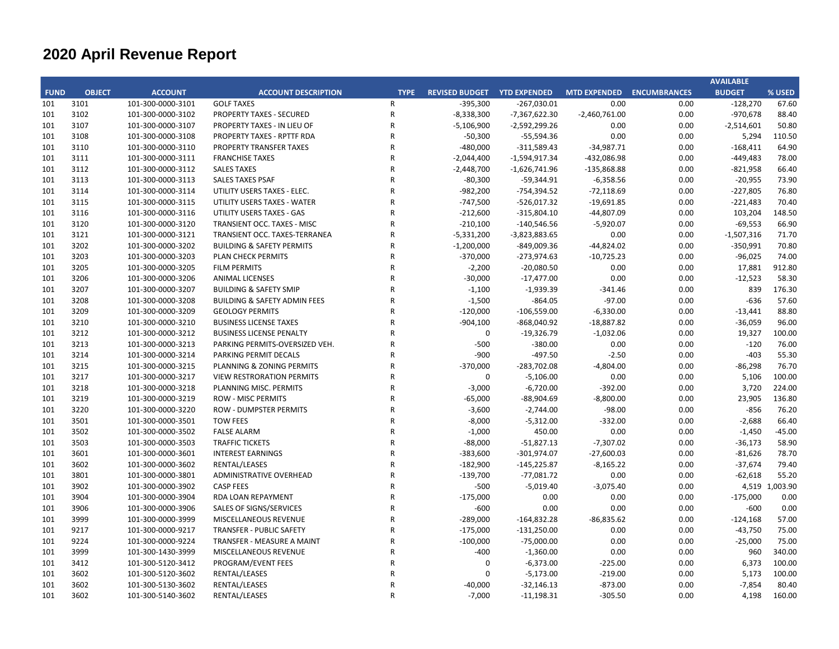|             |               |                   |                                         |                |                             |                 |                           |      | <b>AVAILABLE</b> |                |
|-------------|---------------|-------------------|-----------------------------------------|----------------|-----------------------------|-----------------|---------------------------|------|------------------|----------------|
| <b>FUND</b> | <b>OBJECT</b> | <b>ACCOUNT</b>    | <b>ACCOUNT DESCRIPTION</b>              | <b>TYPE</b>    | REVISED BUDGET YTD EXPENDED |                 | MTD EXPENDED ENCUMBRANCES |      | <b>BUDGET</b>    | % USED         |
| 101         | 3101          | 101-300-0000-3101 | <b>GOLF TAXES</b>                       | $\mathsf{R}$   | $-395,300$                  | $-267,030.01$   | 0.00                      | 0.00 | $-128,270$       | 67.60          |
| 101         | 3102          | 101-300-0000-3102 | <b>PROPERTY TAXES - SECURED</b>         | ${\sf R}$      | $-8,338,300$                | -7,367,622.30   | $-2,460,761.00$           | 0.00 | -970,678         | 88.40          |
| 101         | 3107          | 101-300-0000-3107 | PROPERTY TAXES - IN LIEU OF             | $\mathsf{R}$   | $-5,106,900$                | $-2,592,299.26$ | 0.00                      | 0.00 | $-2,514,601$     | 50.80          |
| 101         | 3108          | 101-300-0000-3108 | PROPERTY TAXES - RPTTF RDA              | $\mathsf{R}$   | $-50,300$                   | $-55,594.36$    | 0.00                      | 0.00 | 5,294            | 110.50         |
| 101         | 3110          | 101-300-0000-3110 | PROPERTY TRANSFER TAXES                 | $\mathsf{R}$   | -480,000                    | $-311,589.43$   | $-34,987.71$              | 0.00 | $-168,411$       | 64.90          |
| 101         | 3111          | 101-300-0000-3111 | <b>FRANCHISE TAXES</b>                  | ${\sf R}$      | $-2,044,400$                | $-1,594,917.34$ | -432,086.98               | 0.00 | $-449,483$       | 78.00          |
| 101         | 3112          | 101-300-0000-3112 | <b>SALES TAXES</b>                      | $\mathsf{R}$   | $-2,448,700$                | $-1,626,741.96$ | -135,868.88               | 0.00 | $-821,958$       | 66.40          |
| 101         | 3113          | 101-300-0000-3113 | <b>SALES TAXES PSAF</b>                 | $\mathsf{R}$   | $-80,300$                   | $-59,344.91$    | $-6,358.56$               | 0.00 | $-20,955$        | 73.90          |
| 101         | 3114          | 101-300-0000-3114 | UTILITY USERS TAXES - ELEC.             | $\mathsf R$    | $-982,200$                  | -754,394.52     | $-72,118.69$              | 0.00 | $-227,805$       | 76.80          |
| 101         | 3115          | 101-300-0000-3115 | UTILITY USERS TAXES - WATER             | ${\sf R}$      | $-747,500$                  | $-526,017.32$   | $-19,691.85$              | 0.00 | $-221,483$       | 70.40          |
| 101         | 3116          | 101-300-0000-3116 | UTILITY USERS TAXES - GAS               | $\mathsf R$    | $-212,600$                  | $-315,804.10$   | -44,807.09                | 0.00 | 103,204          | 148.50         |
| 101         | 3120          | 101-300-0000-3120 | TRANSIENT OCC. TAXES - MISC             | $\mathsf{R}$   | $-210,100$                  | $-140,546.56$   | $-5,920.07$               | 0.00 | $-69,553$        | 66.90          |
| 101         | 3121          | 101-300-0000-3121 | TRANSIENT OCC. TAXES-TERRANEA           | $\mathsf R$    | $-5,331,200$                | $-3,823,883.65$ | 0.00                      | 0.00 | $-1,507,316$     | 71.70          |
| 101         | 3202          | 101-300-0000-3202 | <b>BUILDING &amp; SAFETY PERMITS</b>    | ${\sf R}$      | $-1,200,000$                | $-849,009.36$   | $-44,824.02$              | 0.00 | $-350,991$       | 70.80          |
| 101         | 3203          | 101-300-0000-3203 | PLAN CHECK PERMITS                      | $\mathsf{R}$   | $-370,000$                  | $-273,974.63$   | $-10,725.23$              | 0.00 | $-96,025$        | 74.00          |
| 101         | 3205          | 101-300-0000-3205 | <b>FILM PERMITS</b>                     | ${\sf R}$      | $-2,200$                    | $-20,080.50$    | 0.00                      | 0.00 | 17,881           | 912.80         |
| 101         | 3206          | 101-300-0000-3206 | <b>ANIMAL LICENSES</b>                  | $\mathsf R$    | $-30,000$                   | $-17,477.00$    | 0.00                      | 0.00 | $-12,523$        | 58.30          |
| 101         | 3207          | 101-300-0000-3207 | <b>BUILDING &amp; SAFETY SMIP</b>       | $\overline{R}$ | $-1,100$                    | $-1,939.39$     | $-341.46$                 | 0.00 | 839              | 176.30         |
| 101         | 3208          | 101-300-0000-3208 | <b>BUILDING &amp; SAFETY ADMIN FEES</b> | $\mathsf{R}$   | $-1,500$                    | $-864.05$       | $-97.00$                  | 0.00 | $-636$           | 57.60          |
| 101         | 3209          | 101-300-0000-3209 | <b>GEOLOGY PERMITS</b>                  | $\mathsf{R}$   | $-120,000$                  | $-106,559.00$   | $-6,330.00$               | 0.00 | $-13,441$        | 88.80          |
| 101         | 3210          | 101-300-0000-3210 | <b>BUSINESS LICENSE TAXES</b>           | ${\sf R}$      | $-904,100$                  | $-868,040.92$   | $-18,887.82$              | 0.00 | $-36,059$        | 96.00          |
| 101         | 3212          | 101-300-0000-3212 | <b>BUSINESS LICENSE PENALTY</b>         | $\mathsf{R}$   | $\mathbf 0$                 | $-19,326.79$    | $-1,032.06$               | 0.00 | 19,327           | 100.00         |
| 101         | 3213          | 101-300-0000-3213 | PARKING PERMITS-OVERSIZED VEH.          | $\mathsf{R}$   | $-500$                      | $-380.00$       | 0.00                      | 0.00 | $-120$           | 76.00          |
| 101         | 3214          | 101-300-0000-3214 | <b>PARKING PERMIT DECALS</b>            | $\mathsf{R}$   | -900                        | $-497.50$       | $-2.50$                   | 0.00 | $-403$           | 55.30          |
| 101         | 3215          | 101-300-0000-3215 | PLANNING & ZONING PERMITS               | ${\sf R}$      | $-370,000$                  | $-283,702.08$   | $-4,804.00$               | 0.00 | $-86,298$        | 76.70          |
| 101         | 3217          | 101-300-0000-3217 | <b>VIEW RESTRORATION PERMITS</b>        | $\mathsf{R}$   | $\mathbf 0$                 | $-5,106.00$     | 0.00                      | 0.00 | 5,106            | 100.00         |
| 101         | 3218          | 101-300-0000-3218 | PLANNING MISC. PERMITS                  | $\mathsf{R}$   | $-3,000$                    | $-6,720.00$     | $-392.00$                 | 0.00 | 3,720            | 224.00         |
| 101         | 3219          | 101-300-0000-3219 | <b>ROW - MISC PERMITS</b>               | $\mathsf{R}$   | $-65,000$                   | $-88,904.69$    | $-8,800.00$               | 0.00 | 23,905           | 136.80         |
| 101         | 3220          | 101-300-0000-3220 | ROW - DUMPSTER PERMITS                  | $\mathsf R$    | $-3,600$                    | $-2,744.00$     | $-98.00$                  | 0.00 | $-856$           | 76.20          |
| 101         | 3501          | 101-300-0000-3501 | <b>TOW FEES</b>                         | $\mathsf{R}$   | $-8,000$                    | $-5,312.00$     | $-332.00$                 | 0.00 | $-2,688$         | 66.40          |
| 101         | 3502          | 101-300-0000-3502 | <b>FALSE ALARM</b>                      | $\mathsf{R}$   | $-1,000$                    | 450.00          | 0.00                      | 0.00 | $-1,450$         | $-45.00$       |
| 101         | 3503          | 101-300-0000-3503 | <b>TRAFFIC TICKETS</b>                  | $\mathsf{R}$   | $-88,000$                   | $-51,827.13$    | $-7,307.02$               | 0.00 | $-36,173$        | 58.90          |
| 101         | 3601          | 101-300-0000-3601 | <b>INTEREST EARNINGS</b>                | $\mathsf{R}$   | $-383,600$                  | $-301,974.07$   | $-27,600.03$              | 0.00 | $-81,626$        | 78.70          |
| 101         | 3602          | 101-300-0000-3602 | RENTAL/LEASES                           | $\mathsf{R}$   | $-182,900$                  | $-145,225.87$   | $-8,165.22$               | 0.00 | $-37,674$        | 79.40          |
| 101         | 3801          | 101-300-0000-3801 | ADMINISTRATIVE OVERHEAD                 | ${\sf R}$      | $-139,700$                  | $-77,081.72$    | 0.00                      | 0.00 | $-62,618$        | 55.20          |
| 101         | 3902          | 101-300-0000-3902 | <b>CASP FEES</b>                        | $\mathsf{R}$   | $-500$                      | $-5,019.40$     | $-3,075.40$               | 0.00 |                  | 4,519 1,003.90 |
| 101         | 3904          | 101-300-0000-3904 | RDA LOAN REPAYMENT                      | ${\sf R}$      | $-175,000$                  | 0.00            | 0.00                      | 0.00 | $-175,000$       | 0.00           |
| 101         | 3906          | 101-300-0000-3906 | SALES OF SIGNS/SERVICES                 | $\mathsf{R}$   | $-600$                      | 0.00            | 0.00                      | 0.00 | $-600$           | 0.00           |
| 101         | 3999          | 101-300-0000-3999 | MISCELLANEOUS REVENUE                   | ${\sf R}$      | $-289,000$                  | $-164,832.28$   | $-86,835.62$              | 0.00 | $-124,168$       | 57.00          |
| 101         | 9217          | 101-300-0000-9217 | <b>TRANSFER - PUBLIC SAFETY</b>         | $\mathsf R$    | $-175,000$                  | $-131,250.00$   | 0.00                      | 0.00 | $-43,750$        | 75.00          |
| 101         | 9224          | 101-300-0000-9224 | TRANSFER - MEASURE A MAINT              | ${\sf R}$      | $-100,000$                  | $-75,000.00$    | 0.00                      | 0.00 | $-25,000$        | 75.00          |
| 101         | 3999          | 101-300-1430-3999 | MISCELLANEOUS REVENUE                   | $\mathsf{R}$   | $-400$                      | $-1,360.00$     | 0.00                      | 0.00 | 960              | 340.00         |
| 101         | 3412          | 101-300-5120-3412 | PROGRAM/EVENT FEES                      | $\mathsf{R}$   | $\mathbf 0$                 | $-6,373.00$     | $-225.00$                 | 0.00 | 6,373            | 100.00         |
| 101         | 3602          | 101-300-5120-3602 | RENTAL/LEASES                           | $\mathsf{R}$   | $\Omega$                    | $-5,173.00$     | $-219.00$                 | 0.00 | 5,173            | 100.00         |
| 101         | 3602          | 101-300-5130-3602 | RENTAL/LEASES                           | $\mathsf{R}$   | $-40,000$                   | $-32,146.13$    | $-873.00$                 | 0.00 | $-7,854$         | 80.40          |
| 101         | 3602          | 101-300-5140-3602 | RENTAL/LEASES                           | $\mathsf{R}$   | $-7,000$                    | $-11,198.31$    | $-305.50$                 | 0.00 | 4,198            | 160.00         |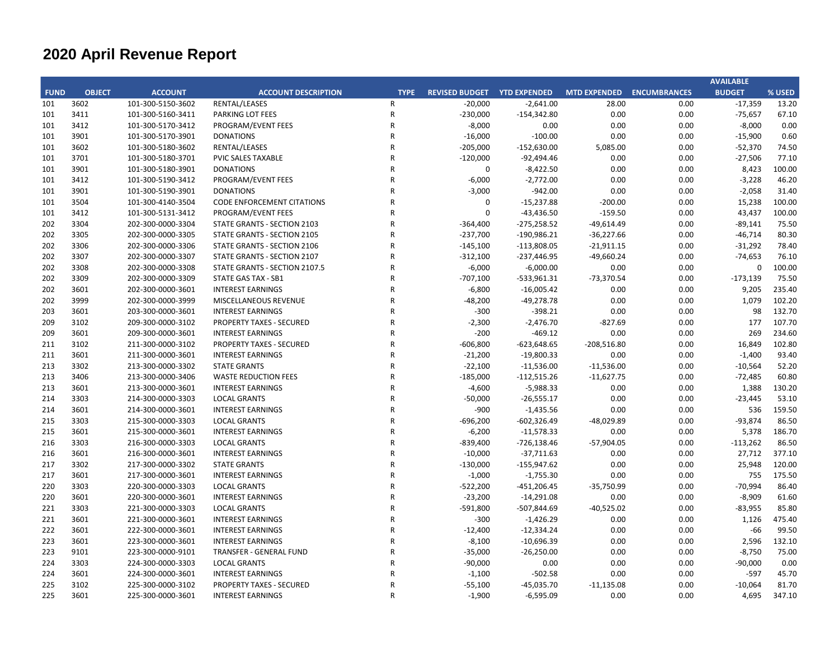|             |               |                   |                                   |                |                                    |               |                           |      | <b>AVAILABLE</b> |        |
|-------------|---------------|-------------------|-----------------------------------|----------------|------------------------------------|---------------|---------------------------|------|------------------|--------|
| <b>FUND</b> | <b>OBJECT</b> | <b>ACCOUNT</b>    | <b>ACCOUNT DESCRIPTION</b>        | <b>TYPE</b>    | <b>REVISED BUDGET YTD EXPENDED</b> |               | MTD EXPENDED ENCUMBRANCES |      | <b>BUDGET</b>    | % USED |
| 101         | 3602          | 101-300-5150-3602 | RENTAL/LEASES                     | $\mathsf{R}$   | $-20,000$                          | $-2,641.00$   | 28.00                     | 0.00 | $-17,359$        | 13.20  |
| 101         | 3411          | 101-300-5160-3411 | PARKING LOT FEES                  | ${\sf R}$      | $-230,000$                         | $-154,342.80$ | 0.00                      | 0.00 | $-75,657$        | 67.10  |
| 101         | 3412          | 101-300-5170-3412 | PROGRAM/EVENT FEES                | $\overline{R}$ | $-8,000$                           | 0.00          | 0.00                      | 0.00 | $-8,000$         | 0.00   |
| 101         | 3901          | 101-300-5170-3901 | <b>DONATIONS</b>                  | $\mathsf{R}$   | $-16,000$                          | $-100.00$     | 0.00                      | 0.00 | $-15,900$        | 0.60   |
| 101         | 3602          | 101-300-5180-3602 | RENTAL/LEASES                     | $\overline{R}$ | $-205,000$                         | $-152,630.00$ | 5,085.00                  | 0.00 | $-52,370$        | 74.50  |
| 101         | 3701          | 101-300-5180-3701 | PVIC SALES TAXABLE                | $\mathsf{R}$   | $-120,000$                         | $-92,494.46$  | 0.00                      | 0.00 | $-27,506$        | 77.10  |
| 101         | 3901          | 101-300-5180-3901 | <b>DONATIONS</b>                  | $\overline{R}$ | $\mathbf 0$                        | $-8,422.50$   | 0.00                      | 0.00 | 8,423            | 100.00 |
| 101         | 3412          | 101-300-5190-3412 | PROGRAM/EVENT FEES                | $\overline{R}$ | $-6,000$                           | $-2,772.00$   | 0.00                      | 0.00 | $-3,228$         | 46.20  |
| 101         | 3901          | 101-300-5190-3901 | <b>DONATIONS</b>                  | $\overline{R}$ | $-3,000$                           | $-942.00$     | 0.00                      | 0.00 | $-2,058$         | 31.40  |
| 101         | 3504          | 101-300-4140-3504 | <b>CODE ENFORCEMENT CITATIONS</b> | $\overline{R}$ | 0                                  | $-15,237.88$  | $-200.00$                 | 0.00 | 15,238           | 100.00 |
| 101         | 3412          | 101-300-5131-3412 | PROGRAM/EVENT FEES                | $\overline{R}$ | $\Omega$                           | $-43,436.50$  | $-159.50$                 | 0.00 | 43,437           | 100.00 |
| 202         | 3304          | 202-300-0000-3304 | STATE GRANTS - SECTION 2103       | $\overline{R}$ | $-364,400$                         | $-275,258.52$ | $-49,614.49$              | 0.00 | $-89,141$        | 75.50  |
| 202         | 3305          | 202-300-0000-3305 | STATE GRANTS - SECTION 2105       | $\overline{R}$ | $-237,700$                         | $-190,986.21$ | $-36,227.66$              | 0.00 | $-46,714$        | 80.30  |
| 202         | 3306          | 202-300-0000-3306 | STATE GRANTS - SECTION 2106       | $\mathsf{R}$   | $-145,100$                         | $-113,808.05$ | $-21,911.15$              | 0.00 | $-31,292$        | 78.40  |
| 202         | 3307          | 202-300-0000-3307 | STATE GRANTS - SECTION 2107       | $\mathsf{R}$   | $-312,100$                         | $-237,446.95$ | $-49,660.24$              | 0.00 | $-74,653$        | 76.10  |
| 202         | 3308          | 202-300-0000-3308 | STATE GRANTS - SECTION 2107.5     | $\overline{R}$ | $-6,000$                           | $-6,000.00$   | 0.00                      | 0.00 | 0                | 100.00 |
| 202         | 3309          | 202-300-0000-3309 | <b>STATE GAS TAX - SB1</b>        | R              | $-707,100$                         | $-533,961.31$ | $-73,370.54$              | 0.00 | $-173,139$       | 75.50  |
| 202         | 3601          | 202-300-0000-3601 | <b>INTEREST EARNINGS</b>          | $\overline{R}$ | $-6,800$                           | $-16,005.42$  | 0.00                      | 0.00 | 9,205            | 235.40 |
| 202         | 3999          | 202-300-0000-3999 | MISCELLANEOUS REVENUE             | $\overline{R}$ | $-48,200$                          | $-49,278.78$  | 0.00                      | 0.00 | 1,079            | 102.20 |
| 203         | 3601          | 203-300-0000-3601 | <b>INTEREST EARNINGS</b>          | $\overline{R}$ | $-300$                             | $-398.21$     | 0.00                      | 0.00 | 98               | 132.70 |
| 209         | 3102          | 209-300-0000-3102 | PROPERTY TAXES - SECURED          | $\overline{R}$ | $-2,300$                           | $-2,476.70$   | $-827.69$                 | 0.00 | 177              | 107.70 |
| 209         | 3601          | 209-300-0000-3601 | <b>INTEREST EARNINGS</b>          | $\overline{R}$ | $-200$                             | $-469.12$     | 0.00                      | 0.00 | 269              | 234.60 |
| 211         | 3102          | 211-300-0000-3102 | <b>PROPERTY TAXES - SECURED</b>   | $\mathsf{R}$   | $-606,800$                         | $-623,648.65$ | $-208,516.80$             | 0.00 | 16,849           | 102.80 |
| 211         | 3601          | 211-300-0000-3601 | <b>INTEREST EARNINGS</b>          | $\overline{R}$ | $-21,200$                          | $-19,800.33$  | 0.00                      | 0.00 | $-1,400$         | 93.40  |
| 213         | 3302          | 213-300-0000-3302 | <b>STATE GRANTS</b>               | $\mathsf{R}$   | $-22,100$                          | $-11,536.00$  | $-11,536.00$              | 0.00 | $-10,564$        | 52.20  |
| 213         | 3406          | 213-300-0000-3406 | <b>WASTE REDUCTION FEES</b>       | $\overline{R}$ | $-185,000$                         | $-112,515.26$ | $-11,627.75$              | 0.00 | $-72,485$        | 60.80  |
| 213         | 3601          | 213-300-0000-3601 | <b>INTEREST EARNINGS</b>          | $\overline{R}$ | $-4,600$                           | $-5,988.33$   | 0.00                      | 0.00 | 1,388            | 130.20 |
| 214         | 3303          | 214-300-0000-3303 | <b>LOCAL GRANTS</b>               | $\overline{R}$ | $-50,000$                          | $-26,555.17$  | 0.00                      | 0.00 | $-23,445$        | 53.10  |
| 214         | 3601          | 214-300-0000-3601 | <b>INTEREST EARNINGS</b>          | $\mathsf{R}$   | $-900$                             | $-1,435.56$   | 0.00                      | 0.00 | 536              | 159.50 |
| 215         | 3303          | 215-300-0000-3303 | <b>LOCAL GRANTS</b>               | $\overline{R}$ | $-696,200$                         | $-602,326.49$ | -48,029.89                | 0.00 | $-93,874$        | 86.50  |
| 215         | 3601          | 215-300-0000-3601 | <b>INTEREST EARNINGS</b>          | $\overline{R}$ | $-6,200$                           | $-11,578.33$  | 0.00                      | 0.00 | 5,378            | 186.70 |
| 216         | 3303          | 216-300-0000-3303 | <b>LOCAL GRANTS</b>               | $\overline{R}$ | $-839,400$                         | $-726,138.46$ | $-57,904.05$              | 0.00 | $-113,262$       | 86.50  |
| 216         | 3601          | 216-300-0000-3601 | <b>INTEREST EARNINGS</b>          | $\overline{R}$ | $-10,000$                          | $-37,711.63$  | 0.00                      | 0.00 | 27,712           | 377.10 |
| 217         | 3302          | 217-300-0000-3302 | <b>STATE GRANTS</b>               | $\mathsf{R}$   | $-130,000$                         | $-155,947.62$ | 0.00                      | 0.00 | 25,948           | 120.00 |
| 217         | 3601          | 217-300-0000-3601 | <b>INTEREST EARNINGS</b>          | $\overline{R}$ | $-1,000$                           | $-1,755.30$   | 0.00                      | 0.00 | 755              | 175.50 |
| 220         | 3303          | 220-300-0000-3303 | <b>LOCAL GRANTS</b>               | $\overline{R}$ | $-522,200$                         | $-451,206.45$ | $-35,750.99$              | 0.00 | $-70,994$        | 86.40  |
| 220         | 3601          | 220-300-0000-3601 | <b>INTEREST EARNINGS</b>          | $\overline{R}$ | $-23,200$                          | $-14,291.08$  | 0.00                      | 0.00 | $-8,909$         | 61.60  |
| 221         | 3303          | 221-300-0000-3303 | <b>LOCAL GRANTS</b>               | $\overline{R}$ | $-591,800$                         | -507,844.69   | $-40,525.02$              | 0.00 | $-83,955$        | 85.80  |
| 221         | 3601          | 221-300-0000-3601 | <b>INTEREST EARNINGS</b>          | $\overline{R}$ | $-300$                             | $-1,426.29$   | 0.00                      | 0.00 | 1,126            | 475.40 |
| 222         | 3601          | 222-300-0000-3601 | <b>INTEREST EARNINGS</b>          | $\overline{R}$ | $-12,400$                          | $-12,334.24$  | 0.00                      | 0.00 | -66              | 99.50  |
| 223         | 3601          | 223-300-0000-3601 | <b>INTEREST EARNINGS</b>          | $\overline{R}$ | $-8,100$                           | $-10,696.39$  | 0.00                      | 0.00 | 2,596            | 132.10 |
| 223         | 9101          | 223-300-0000-9101 | <b>TRANSFER - GENERAL FUND</b>    | $\overline{R}$ | $-35,000$                          | $-26,250.00$  | 0.00                      | 0.00 | $-8,750$         | 75.00  |
| 224         | 3303          | 224-300-0000-3303 | <b>LOCAL GRANTS</b>               | $\overline{R}$ | $-90,000$                          | 0.00          | 0.00                      | 0.00 | $-90,000$        | 0.00   |
| 224         | 3601          | 224-300-0000-3601 | <b>INTEREST EARNINGS</b>          | R              | $-1,100$                           | $-502.58$     | 0.00                      | 0.00 | $-597$           | 45.70  |
| 225         | 3102          | 225-300-0000-3102 | <b>PROPERTY TAXES - SECURED</b>   | $\overline{R}$ | $-55,100$                          | $-45,035.70$  | $-11,135.08$              | 0.00 | $-10,064$        | 81.70  |
| 225         | 3601          | 225-300-0000-3601 | <b>INTEREST EARNINGS</b>          | $\mathsf{R}$   | $-1,900$                           | $-6,595.09$   | 0.00                      | 0.00 | 4,695            | 347.10 |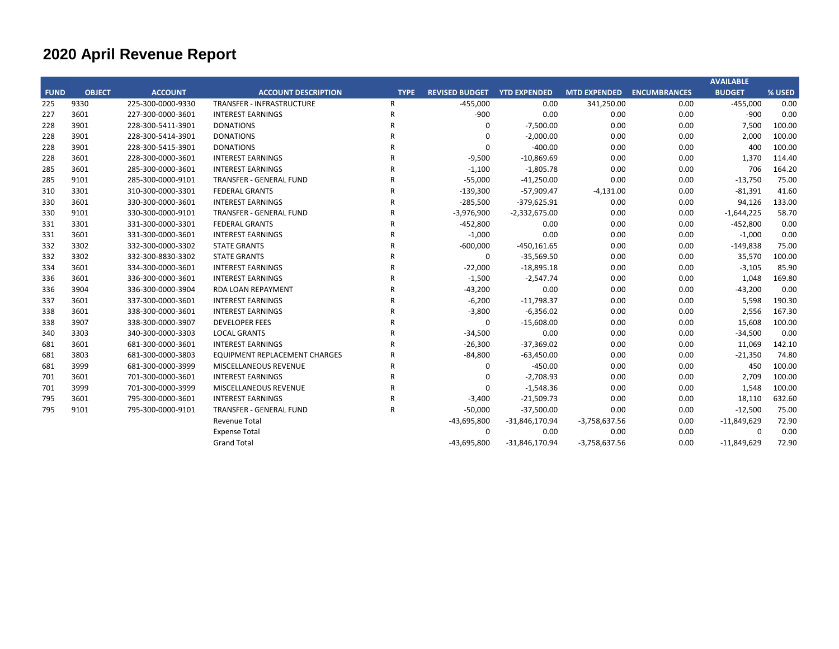|             |               |                   |                                      |                |                                    |                  |                     |                     | <b>AVAILABLE</b> |        |
|-------------|---------------|-------------------|--------------------------------------|----------------|------------------------------------|------------------|---------------------|---------------------|------------------|--------|
| <b>FUND</b> | <b>OBJECT</b> | <b>ACCOUNT</b>    | <b>ACCOUNT DESCRIPTION</b>           | <b>TYPE</b>    | <b>REVISED BUDGET YTD EXPENDED</b> |                  | <b>MTD EXPENDED</b> | <b>ENCUMBRANCES</b> | <b>BUDGET</b>    | % USED |
| 225         | 9330          | 225-300-0000-9330 | <b>TRANSFER - INFRASTRUCTURE</b>     | $\mathsf{R}$   | $-455,000$                         | 0.00             | 341,250.00          | 0.00                | $-455,000$       | 0.00   |
| 227         | 3601          | 227-300-0000-3601 | <b>INTEREST EARNINGS</b>             | R              | $-900$                             | 0.00             | 0.00                | 0.00                | $-900$           | 0.00   |
| 228         | 3901          | 228-300-5411-3901 | <b>DONATIONS</b>                     | R              | $\Omega$                           | $-7,500.00$      | 0.00                | 0.00                | 7,500            | 100.00 |
| 228         | 3901          | 228-300-5414-3901 | <b>DONATIONS</b>                     | R              | 0                                  | $-2,000.00$      | 0.00                | 0.00                | 2,000            | 100.00 |
| 228         | 3901          | 228-300-5415-3901 | <b>DONATIONS</b>                     | R              | $\mathbf 0$                        | $-400.00$        | 0.00                | 0.00                | 400              | 100.00 |
| 228         | 3601          | 228-300-0000-3601 | <b>INTEREST EARNINGS</b>             | R              | $-9,500$                           | $-10,869.69$     | 0.00                | 0.00                | 1,370            | 114.40 |
| 285         | 3601          | 285-300-0000-3601 | <b>INTEREST EARNINGS</b>             | R              | $-1,100$                           | $-1,805.78$      | 0.00                | 0.00                | 706              | 164.20 |
| 285         | 9101          | 285-300-0000-9101 | <b>TRANSFER - GENERAL FUND</b>       | R              | $-55,000$                          | $-41,250.00$     | 0.00                | 0.00                | $-13,750$        | 75.00  |
| 310         | 3301          | 310-300-0000-3301 | <b>FEDERAL GRANTS</b>                | R              | $-139,300$                         | $-57,909.47$     | $-4,131.00$         | 0.00                | $-81,391$        | 41.60  |
| 330         | 3601          | 330-300-0000-3601 | <b>INTEREST EARNINGS</b>             | $\overline{R}$ | $-285,500$                         | $-379,625.91$    | 0.00                | 0.00                | 94,126           | 133.00 |
| 330         | 9101          | 330-300-0000-9101 | <b>TRANSFER - GENERAL FUND</b>       | R              | $-3,976,900$                       | $-2,332,675.00$  | 0.00                | 0.00                | $-1,644,225$     | 58.70  |
| 331         | 3301          | 331-300-0000-3301 | <b>FEDERAL GRANTS</b>                | R              | $-452,800$                         | 0.00             | 0.00                | 0.00                | $-452,800$       | 0.00   |
| 331         | 3601          | 331-300-0000-3601 | <b>INTEREST EARNINGS</b>             | R              | $-1,000$                           | 0.00             | 0.00                | 0.00                | $-1,000$         | 0.00   |
| 332         | 3302          | 332-300-0000-3302 | <b>STATE GRANTS</b>                  | R              | $-600,000$                         | $-450,161.65$    | 0.00                | 0.00                | $-149,838$       | 75.00  |
| 332         | 3302          | 332-300-8830-3302 | <b>STATE GRANTS</b>                  | R              | 0                                  | $-35,569.50$     | 0.00                | 0.00                | 35,570           | 100.00 |
| 334         | 3601          | 334-300-0000-3601 | <b>INTEREST EARNINGS</b>             | R              | $-22,000$                          | $-18,895.18$     | 0.00                | 0.00                | $-3,105$         | 85.90  |
| 336         | 3601          | 336-300-0000-3601 | <b>INTEREST EARNINGS</b>             | R              | $-1,500$                           | $-2,547.74$      | 0.00                | 0.00                | 1,048            | 169.80 |
| 336         | 3904          | 336-300-0000-3904 | <b>RDA LOAN REPAYMENT</b>            | R              | $-43,200$                          | 0.00             | 0.00                | 0.00                | $-43,200$        | 0.00   |
| 337         | 3601          | 337-300-0000-3601 | <b>INTEREST EARNINGS</b>             | R              | $-6,200$                           | $-11,798.37$     | 0.00                | 0.00                | 5,598            | 190.30 |
| 338         | 3601          | 338-300-0000-3601 | <b>INTEREST EARNINGS</b>             | $\mathsf{R}$   | $-3,800$                           | $-6,356.02$      | 0.00                | 0.00                | 2,556            | 167.30 |
| 338         | 3907          | 338-300-0000-3907 | <b>DEVELOPER FEES</b>                | R              | 0                                  | $-15,608.00$     | 0.00                | 0.00                | 15,608           | 100.00 |
| 340         | 3303          | 340-300-0000-3303 | <b>LOCAL GRANTS</b>                  | R              | $-34,500$                          | 0.00             | 0.00                | 0.00                | $-34,500$        | 0.00   |
| 681         | 3601          | 681-300-0000-3601 | <b>INTEREST EARNINGS</b>             | R              | $-26,300$                          | $-37,369.02$     | 0.00                | 0.00                | 11,069           | 142.10 |
| 681         | 3803          | 681-300-0000-3803 | <b>EQUIPMENT REPLACEMENT CHARGES</b> | R              | $-84,800$                          | $-63,450.00$     | 0.00                | 0.00                | $-21,350$        | 74.80  |
| 681         | 3999          | 681-300-0000-3999 | MISCELLANEOUS REVENUE                | R              | 0                                  | $-450.00$        | 0.00                | 0.00                | 450              | 100.00 |
| 701         | 3601          | 701-300-0000-3601 | <b>INTEREST EARNINGS</b>             | R              | $\mathbf 0$                        | $-2,708.93$      | 0.00                | 0.00                | 2,709            | 100.00 |
| 701         | 3999          | 701-300-0000-3999 | MISCELLANEOUS REVENUE                | R              | 0                                  | $-1,548.36$      | 0.00                | 0.00                | 1,548            | 100.00 |
| 795         | 3601          | 795-300-0000-3601 | <b>INTEREST EARNINGS</b>             | R              | $-3,400$                           | $-21,509.73$     | 0.00                | 0.00                | 18,110           | 632.60 |
| 795         | 9101          | 795-300-0000-9101 | <b>TRANSFER - GENERAL FUND</b>       | R              | $-50,000$                          | $-37,500.00$     | 0.00                | 0.00                | $-12,500$        | 75.00  |
|             |               |                   | Revenue Total                        |                | $-43,695,800$                      | $-31,846,170.94$ | $-3,758,637.56$     | 0.00                | $-11,849,629$    | 72.90  |
|             |               |                   | <b>Expense Total</b>                 |                | $\mathbf 0$                        | 0.00             | 0.00                | 0.00                | $\Omega$         | 0.00   |
|             |               |                   | <b>Grand Total</b>                   |                | $-43,695,800$                      | $-31,846,170.94$ | $-3,758,637.56$     | 0.00                | $-11,849,629$    | 72.90  |
|             |               |                   |                                      |                |                                    |                  |                     |                     |                  |        |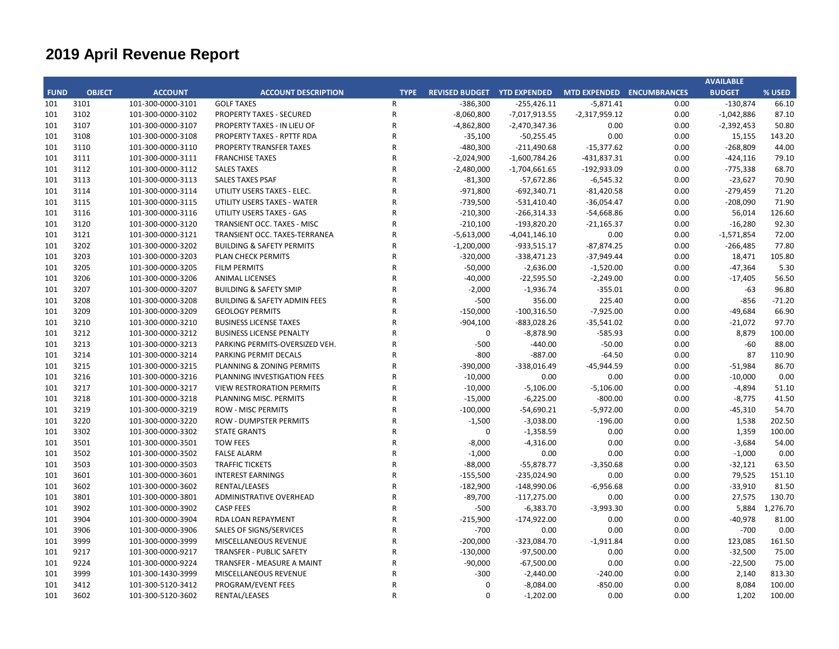|             |               |                   |                                         |              |                                                       |                 |                 |      | <b>AVAILABLE</b> |          |
|-------------|---------------|-------------------|-----------------------------------------|--------------|-------------------------------------------------------|-----------------|-----------------|------|------------------|----------|
| <b>FUND</b> | <b>OBJECT</b> | <b>ACCOUNT</b>    | <b>ACCOUNT DESCRIPTION</b>              | <b>TYPE</b>  | REVISED BUDGET YTD EXPENDED MTD EXPENDED ENCUMBRANCES |                 |                 |      | <b>BUDGET</b>    | % USED   |
| 101         | 3101          | 101-300-0000-3101 | <b>GOLF TAXES</b>                       | R            | $-386,300$                                            | $-255,426.11$   | $-5,871.41$     | 0.00 | $-130,874$       | 66.10    |
| 101         | 3102          | 101-300-0000-3102 | PROPERTY TAXES - SECURED                | ${\sf R}$    | $-8,060,800$                                          | $-7,017,913.55$ | $-2,317,959.12$ | 0.00 | $-1,042,886$     | 87.10    |
| 101         | 3107          | 101-300-0000-3107 | PROPERTY TAXES - IN LIEU OF             | R            | $-4,862,800$                                          | $-2,470,347.36$ | 0.00            | 0.00 | $-2,392,453$     | 50.80    |
| 101         | 3108          | 101-300-0000-3108 | <b>PROPERTY TAXES - RPTTF RDA</b>       | R            | $-35,100$                                             | $-50,255.45$    | 0.00            | 0.00 | 15,155           | 143.20   |
| 101         | 3110          | 101-300-0000-3110 | PROPERTY TRANSFER TAXES                 | R            | $-480,300$                                            | $-211,490.68$   | $-15,377.62$    | 0.00 | $-268,809$       | 44.00    |
| 101         | 3111          | 101-300-0000-3111 | <b>FRANCHISE TAXES</b>                  | $\mathsf{R}$ | $-2,024,900$                                          | $-1,600,784.26$ | $-431,837.31$   | 0.00 | $-424,116$       | 79.10    |
| 101         | 3112          | 101-300-0000-3112 | <b>SALES TAXES</b>                      | R            | $-2,480,000$                                          | $-1,704,661.65$ | $-192,933.09$   | 0.00 | $-775,338$       | 68.70    |
| 101         | 3113          | 101-300-0000-3113 | <b>SALES TAXES PSAF</b>                 | $\mathsf{R}$ | $-81,300$                                             | $-57,672.86$    | $-6,545.32$     | 0.00 | $-23,627$        | 70.90    |
| 101         | 3114          | 101-300-0000-3114 | UTILITY USERS TAXES - ELEC.             | R            | $-971,800$                                            | $-692,340.71$   | $-81,420.58$    | 0.00 | $-279,459$       | 71.20    |
| 101         | 3115          | 101-300-0000-3115 | UTILITY USERS TAXES - WATER             | R            | -739,500                                              | $-531,410.40$   | $-36,054.47$    | 0.00 | $-208,090$       | 71.90    |
| 101         | 3116          | 101-300-0000-3116 | UTILITY USERS TAXES - GAS               | R            | $-210,300$                                            | $-266,314.33$   | $-54,668.86$    | 0.00 | 56,014           | 126.60   |
| 101         | 3120          | 101-300-0000-3120 | TRANSIENT OCC. TAXES - MISC             | R            | $-210,100$                                            | $-193,820.20$   | $-21,165.37$    | 0.00 | $-16,280$        | 92.30    |
| 101         | 3121          | 101-300-0000-3121 | TRANSIENT OCC. TAXES-TERRANEA           | R            | $-5,613,000$                                          | $-4,041,146.10$ | 0.00            | 0.00 | $-1,571,854$     | 72.00    |
| 101         | 3202          | 101-300-0000-3202 | <b>BUILDING &amp; SAFETY PERMITS</b>    | R            | $-1,200,000$                                          | $-933,515.17$   | $-87,874.25$    | 0.00 | $-266,485$       | 77.80    |
| 101         | 3203          | 101-300-0000-3203 | PLAN CHECK PERMITS                      | R            | $-320,000$                                            | $-338,471.23$   | $-37,949.44$    | 0.00 | 18,471           | 105.80   |
| 101         | 3205          | 101-300-0000-3205 | <b>FILM PERMITS</b>                     | R            | $-50,000$                                             | $-2,636.00$     | $-1,520.00$     | 0.00 | $-47,364$        | 5.30     |
| 101         | 3206          | 101-300-0000-3206 | <b>ANIMAL LICENSES</b>                  | R            | $-40,000$                                             | $-22,595.50$    | $-2,249.00$     | 0.00 | $-17,405$        | 56.50    |
| 101         | 3207          | 101-300-0000-3207 | <b>BUILDING &amp; SAFETY SMIP</b>       | R            | $-2,000$                                              | $-1,936.74$     | $-355.01$       | 0.00 | -63              | 96.80    |
| 101         | 3208          | 101-300-0000-3208 | <b>BUILDING &amp; SAFETY ADMIN FEES</b> | R            | $-500$                                                | 356.00          | 225.40          | 0.00 | $-856$           | $-71.20$ |
| 101         | 3209          | 101-300-0000-3209 | <b>GEOLOGY PERMITS</b>                  | R            | $-150,000$                                            | $-100,316.50$   | $-7,925.00$     | 0.00 | $-49,684$        | 66.90    |
| 101         | 3210          | 101-300-0000-3210 | <b>BUSINESS LICENSE TAXES</b>           | $\mathsf{R}$ | $-904,100$                                            | $-883,028.26$   | $-35,541.02$    | 0.00 | $-21,072$        | 97.70    |
| 101         | 3212          | 101-300-0000-3212 | <b>BUSINESS LICENSE PENALTY</b>         | $\mathsf{R}$ | $\mathbf 0$                                           | $-8,878.90$     | $-585.93$       | 0.00 | 8,879            | 100.00   |
| 101         | 3213          | 101-300-0000-3213 | PARKING PERMITS-OVERSIZED VEH.          | R            | $-500$                                                | $-440.00$       | $-50.00$        | 0.00 | $-60$            | 88.00    |
| 101         | 3214          | 101-300-0000-3214 | PARKING PERMIT DECALS                   | R            | $-800$                                                | $-887.00$       | $-64.50$        | 0.00 | 87               | 110.90   |
| 101         | 3215          | 101-300-0000-3215 | PLANNING & ZONING PERMITS               | R            | $-390,000$                                            | $-338,016.49$   | $-45,944.59$    | 0.00 | $-51,984$        | 86.70    |
| 101         | 3216          | 101-300-0000-3216 | PLANNING INVESTIGATION FEES             | R            | $-10,000$                                             | 0.00            | 0.00            | 0.00 | $-10,000$        | 0.00     |
| 101         | 3217          | 101-300-0000-3217 | <b>VIEW RESTRORATION PERMITS</b>        | R            | $-10,000$                                             | $-5,106.00$     | $-5,106.00$     | 0.00 | $-4,894$         | 51.10    |
| 101         | 3218          | 101-300-0000-3218 | PLANNING MISC. PERMITS                  | R            | $-15,000$                                             | $-6,225.00$     | $-800.00$       | 0.00 | $-8,775$         | 41.50    |
| 101         | 3219          | 101-300-0000-3219 | <b>ROW - MISC PERMITS</b>               | R            | $-100,000$                                            | $-54,690.21$    | $-5,972.00$     | 0.00 | $-45,310$        | 54.70    |
| 101         | 3220          | 101-300-0000-3220 | <b>ROW - DUMPSTER PERMITS</b>           | R            | $-1,500$                                              | $-3,038.00$     | $-196.00$       | 0.00 | 1,538            | 202.50   |
| 101         | 3302          | 101-300-0000-3302 | <b>STATE GRANTS</b>                     | R            | 0                                                     | $-1,358.59$     | 0.00            | 0.00 | 1,359            | 100.00   |
| 101         | 3501          | 101-300-0000-3501 | <b>TOW FEES</b>                         | R            | $-8,000$                                              | $-4,316.00$     | 0.00            | 0.00 | $-3,684$         | 54.00    |
| 101         | 3502          | 101-300-0000-3502 | <b>FALSE ALARM</b>                      | R            | $-1,000$                                              | 0.00            | 0.00            | 0.00 | $-1,000$         | 0.00     |
| 101         | 3503          | 101-300-0000-3503 | <b>TRAFFIC TICKETS</b>                  | $\mathsf{R}$ | $-88,000$                                             | $-55,878.77$    | $-3,350.68$     | 0.00 | $-32,121$        | 63.50    |
| 101         | 3601          | 101-300-0000-3601 | <b>INTEREST EARNINGS</b>                | R            | $-155,500$                                            | $-235,024.90$   | 0.00            | 0.00 | 79,525           | 151.10   |
| 101         | 3602          | 101-300-0000-3602 | RENTAL/LEASES                           | $\mathsf{R}$ | $-182,900$                                            | $-148,990.06$   | $-6,956.68$     | 0.00 | $-33,910$        | 81.50    |
| 101         | 3801          | 101-300-0000-3801 | ADMINISTRATIVE OVERHEAD                 | R            | $-89,700$                                             | $-117,275.00$   | 0.00            | 0.00 | 27,575           | 130.70   |
| 101         | 3902          | 101-300-0000-3902 | <b>CASP FEES</b>                        | R            | $-500$                                                | $-6,383.70$     | $-3,993.30$     | 0.00 | 5,884            | 1,276.70 |
| 101         | 3904          | 101-300-0000-3904 | RDA LOAN REPAYMENT                      | R            | $-215,900$                                            | $-174,922.00$   | 0.00            | 0.00 | $-40,978$        | 81.00    |
| 101         | 3906          | 101-300-0000-3906 | SALES OF SIGNS/SERVICES                 | R            | $-700$                                                | 0.00            | 0.00            | 0.00 | $-700$           | 0.00     |
| 101         | 3999          | 101-300-0000-3999 | MISCELLANEOUS REVENUE                   | R            | $-200,000$                                            | $-323,084.70$   | $-1,911.84$     | 0.00 | 123,085          | 161.50   |
| 101         | 9217          | 101-300-0000-9217 | <b>TRANSFER - PUBLIC SAFETY</b>         | R            | $-130,000$                                            | $-97,500.00$    | 0.00            | 0.00 | $-32,500$        | 75.00    |
| 101         | 9224          | 101-300-0000-9224 | TRANSFER - MEASURE A MAINT              | R            | $-90,000$                                             | $-67,500.00$    | 0.00            | 0.00 | $-22,500$        | 75.00    |
| 101         | 3999          | 101-300-1430-3999 | MISCELLANEOUS REVENUE                   | R            | $-300$                                                | $-2,440.00$     | $-240.00$       | 0.00 | 2,140            | 813.30   |
| 101         | 3412          | 101-300-5120-3412 | PROGRAM/EVENT FEES                      | R            | 0                                                     | $-8,084.00$     | $-850.00$       | 0.00 | 8,084            | 100.00   |
| 101         | 3602          | 101-300-5120-3602 | RENTAL/LEASES                           | $\mathsf{R}$ | $\Omega$                                              | $-1,202.00$     | 0.00            | 0.00 | 1,202            | 100.00   |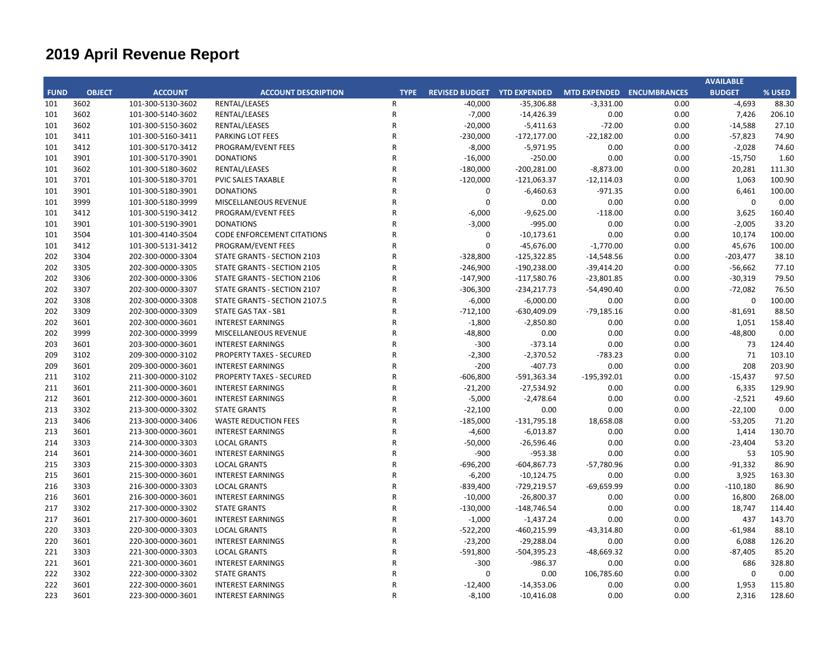|             |               |                   |                                   |              |                                                       |                |               |      | <b>AVAILABLE</b> |        |
|-------------|---------------|-------------------|-----------------------------------|--------------|-------------------------------------------------------|----------------|---------------|------|------------------|--------|
| <b>FUND</b> | <b>OBJECT</b> | <b>ACCOUNT</b>    | <b>ACCOUNT DESCRIPTION</b>        | <b>TYPE</b>  | REVISED BUDGET YTD EXPENDED MTD EXPENDED ENCUMBRANCES |                |               |      | <b>BUDGET</b>    | % USED |
| 101         | 3602          | 101-300-5130-3602 | RENTAL/LEASES                     | R            | $-40,000$                                             | $-35,306.88$   | $-3,331.00$   | 0.00 | $-4,693$         | 88.30  |
| 101         | 3602          | 101-300-5140-3602 | RENTAL/LEASES                     | ${\sf R}$    | $-7,000$                                              | $-14,426.39$   | 0.00          | 0.00 | 7,426            | 206.10 |
| 101         | 3602          | 101-300-5150-3602 | RENTAL/LEASES                     | R            | $-20,000$                                             | $-5,411.63$    | $-72.00$      | 0.00 | $-14,588$        | 27.10  |
| 101         | 3411          | 101-300-5160-3411 | PARKING LOT FEES                  | $\mathsf{R}$ | $-230,000$                                            | $-172, 177.00$ | $-22,182.00$  | 0.00 | $-57,823$        | 74.90  |
| 101         | 3412          | 101-300-5170-3412 | PROGRAM/EVENT FEES                | R            | $-8,000$                                              | $-5,971.95$    | 0.00          | 0.00 | $-2,028$         | 74.60  |
| 101         | 3901          | 101-300-5170-3901 | <b>DONATIONS</b>                  | $\mathsf{R}$ | $-16,000$                                             | $-250.00$      | 0.00          | 0.00 | $-15,750$        | 1.60   |
| 101         | 3602          | 101-300-5180-3602 | RENTAL/LEASES                     | R            | $-180,000$                                            | $-200,281.00$  | $-8,873.00$   | 0.00 | 20,281           | 111.30 |
| 101         | 3701          | 101-300-5180-3701 | PVIC SALES TAXABLE                | $\mathsf{R}$ | $-120,000$                                            | $-121,063.37$  | $-12,114.03$  | 0.00 | 1,063            | 100.90 |
| 101         | 3901          | 101-300-5180-3901 | <b>DONATIONS</b>                  | R            | 0                                                     | $-6,460.63$    | $-971.35$     | 0.00 | 6,461            | 100.00 |
| 101         | 3999          | 101-300-5180-3999 | MISCELLANEOUS REVENUE             | R            | $\Omega$                                              | 0.00           | 0.00          | 0.00 | $\mathbf 0$      | 0.00   |
| 101         | 3412          | 101-300-5190-3412 | PROGRAM/EVENT FEES                | R            | $-6,000$                                              | $-9,625.00$    | $-118.00$     | 0.00 | 3,625            | 160.40 |
| 101         | 3901          | 101-300-5190-3901 | <b>DONATIONS</b>                  | R            | $-3,000$                                              | $-995.00$      | 0.00          | 0.00 | $-2,005$         | 33.20  |
| 101         | 3504          | 101-300-4140-3504 | <b>CODE ENFORCEMENT CITATIONS</b> | R            | 0                                                     | $-10,173.61$   | 0.00          | 0.00 | 10,174           | 100.00 |
| 101         | 3412          | 101-300-5131-3412 | PROGRAM/EVENT FEES                | $\mathsf{R}$ | $\mathbf 0$                                           | $-45,676.00$   | $-1,770.00$   | 0.00 | 45,676           | 100.00 |
| 202         | 3304          | 202-300-0000-3304 | STATE GRANTS - SECTION 2103       | R            | $-328,800$                                            | $-125,322.85$  | $-14,548.56$  | 0.00 | $-203,477$       | 38.10  |
| 202         | 3305          | 202-300-0000-3305 | STATE GRANTS - SECTION 2105       | R            | $-246,900$                                            | $-190,238.00$  | $-39,414.20$  | 0.00 | $-56,662$        | 77.10  |
| 202         | 3306          | 202-300-0000-3306 | STATE GRANTS - SECTION 2106       | R            | $-147,900$                                            | $-117,580.76$  | $-23,801.85$  | 0.00 | $-30,319$        | 79.50  |
| 202         | 3307          | 202-300-0000-3307 | STATE GRANTS - SECTION 2107       | R            | $-306,300$                                            | $-234,217.73$  | $-54,490.40$  | 0.00 | $-72,082$        | 76.50  |
| 202         | 3308          | 202-300-0000-3308 | STATE GRANTS - SECTION 2107.5     | R            | $-6,000$                                              | $-6,000.00$    | 0.00          | 0.00 | $\mathbf 0$      | 100.00 |
| 202         | 3309          | 202-300-0000-3309 | STATE GAS TAX - SB1               | R            | $-712,100$                                            | $-630,409.09$  | $-79,185.16$  | 0.00 | $-81,691$        | 88.50  |
| 202         | 3601          | 202-300-0000-3601 | <b>INTEREST EARNINGS</b>          | $\mathsf{R}$ | $-1,800$                                              | $-2,850.80$    | 0.00          | 0.00 | 1,051            | 158.40 |
| 202         | 3999          | 202-300-0000-3999 | MISCELLANEOUS REVENUE             | R            | $-48,800$                                             | 0.00           | 0.00          | 0.00 | $-48,800$        | 0.00   |
| 203         | 3601          | 203-300-0000-3601 | <b>INTEREST EARNINGS</b>          | $\mathsf{R}$ | $-300$                                                | $-373.14$      | 0.00          | 0.00 | 73               | 124.40 |
| 209         | 3102          | 209-300-0000-3102 | <b>PROPERTY TAXES - SECURED</b>   | R            | $-2,300$                                              | $-2,370.52$    | $-783.23$     | 0.00 | 71               | 103.10 |
| 209         | 3601          | 209-300-0000-3601 | <b>INTEREST EARNINGS</b>          | R            | $-200$                                                | $-407.73$      | 0.00          | 0.00 | 208              | 203.90 |
| 211         | 3102          | 211-300-0000-3102 | <b>PROPERTY TAXES - SECURED</b>   | R            | $-606,800$                                            | -591,363.34    | $-195,392.01$ | 0.00 | $-15,437$        | 97.50  |
| 211         | 3601          | 211-300-0000-3601 | <b>INTEREST EARNINGS</b>          | $\mathsf{R}$ | $-21,200$                                             | $-27,534.92$   | 0.00          | 0.00 | 6,335            | 129.90 |
| 212         | 3601          | 212-300-0000-3601 | <b>INTEREST EARNINGS</b>          | R            | $-5,000$                                              | $-2,478.64$    | 0.00          | 0.00 | $-2,521$         | 49.60  |
| 213         | 3302          | 213-300-0000-3302 | <b>STATE GRANTS</b>               | R            | $-22,100$                                             | 0.00           | 0.00          | 0.00 | $-22,100$        | 0.00   |
| 213         | 3406          | 213-300-0000-3406 | <b>WASTE REDUCTION FEES</b>       | R            | $-185,000$                                            | $-131,795.18$  | 18,658.08     | 0.00 | $-53,205$        | 71.20  |
| 213         | 3601          | 213-300-0000-3601 | <b>INTEREST EARNINGS</b>          | R            | $-4,600$                                              | $-6,013.87$    | 0.00          | 0.00 | 1,414            | 130.70 |
| 214         | 3303          | 214-300-0000-3303 | <b>LOCAL GRANTS</b>               | R            | $-50,000$                                             | $-26,596.46$   | 0.00          | 0.00 | $-23,404$        | 53.20  |
| 214         | 3601          | 214-300-0000-3601 | <b>INTEREST EARNINGS</b>          | $\mathsf{R}$ | $-900$                                                | $-953.38$      | 0.00          | 0.00 | 53               | 105.90 |
| 215         | 3303          | 215-300-0000-3303 | <b>LOCAL GRANTS</b>               | $\mathsf{R}$ | $-696,200$                                            | $-604,867.73$  | -57,780.96    | 0.00 | $-91,332$        | 86.90  |
| 215         | 3601          | 215-300-0000-3601 | <b>INTEREST EARNINGS</b>          | R            | $-6,200$                                              | $-10,124.75$   | 0.00          | 0.00 | 3,925            | 163.30 |
| 216         | 3303          | 216-300-0000-3303 | <b>LOCAL GRANTS</b>               | $\mathsf{R}$ | $-839,400$                                            | -729,219.57    | $-69,659.99$  | 0.00 | $-110,180$       | 86.90  |
| 216         | 3601          | 216-300-0000-3601 | <b>INTEREST EARNINGS</b>          | R            | $-10,000$                                             | $-26,800.37$   | 0.00          | 0.00 | 16,800           | 268.00 |
| 217         | 3302          | 217-300-0000-3302 | <b>STATE GRANTS</b>               | $\mathsf{R}$ | $-130,000$                                            | $-148,746.54$  | 0.00          | 0.00 | 18,747           | 114.40 |
| 217         | 3601          | 217-300-0000-3601 | <b>INTEREST EARNINGS</b>          | R            | $-1,000$                                              | $-1,437.24$    | 0.00          | 0.00 | 437              | 143.70 |
| 220         | 3303          | 220-300-0000-3303 | <b>LOCAL GRANTS</b>               | R            | $-522,200$                                            | $-460,215.99$  | $-43,314.80$  | 0.00 | $-61,984$        | 88.10  |
| 220         | 3601          | 220-300-0000-3601 | <b>INTEREST EARNINGS</b>          | R            | $-23,200$                                             | $-29,288.04$   | 0.00          | 0.00 | 6,088            | 126.20 |
| 221         | 3303          | 221-300-0000-3303 | <b>LOCAL GRANTS</b>               | R            | $-591,800$                                            | $-504,395.23$  | $-48,669.32$  | 0.00 | $-87,405$        | 85.20  |
| 221         | 3601          | 221-300-0000-3601 | <b>INTEREST EARNINGS</b>          | R            | $-300$                                                | $-986.37$      | 0.00          | 0.00 | 686              | 328.80 |
| 222         | 3302          | 222-300-0000-3302 | <b>STATE GRANTS</b>               | R            | $\Omega$                                              | 0.00           | 106,785.60    | 0.00 | 0                | 0.00   |
| 222         | 3601          | 222-300-0000-3601 | <b>INTEREST EARNINGS</b>          | R            | $-12,400$                                             | $-14,353.06$   | 0.00          | 0.00 | 1,953            | 115.80 |
| 223         | 3601          | 223-300-0000-3601 | <b>INTEREST EARNINGS</b>          | $\mathsf{R}$ | $-8,100$                                              | $-10,416.08$   | 0.00          | 0.00 | 2,316            | 128.60 |